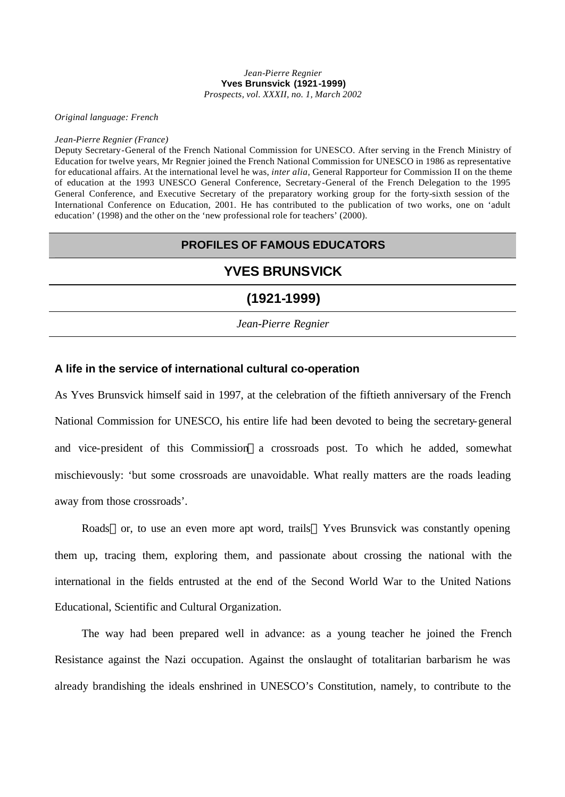#### *Jean-Pierre Regnier* **Yves Brunsvick (1921-1999)** *Prospects, vol. XXXII, no. 1, March 2002*

*Original language: French*

#### *Jean-Pierre Regnier (France)*

Deputy Secretary-General of the French National Commission for UNESCO. After serving in the French Ministry of Education for twelve years, Mr Regnier joined the French National Commission for UNESCO in 1986 as representative for educational affairs. At the international level he was, *inter alia*, General Rapporteur for Commission II on the theme of education at the 1993 UNESCO General Conference, Secretary-General of the French Delegation to the 1995 General Conference, and Executive Secretary of the preparatory working group for the forty-sixth session of the International Conference on Education, 2001. He has contributed to the publication of two works, one on 'adult education' (1998) and the other on the 'new professional role for teachers' (2000).

## **PROFILES OF FAMOUS EDUCATORS**

# **YVES BRUNSVICK**

# **(1921-1999)**

*Jean-Pierre Regnier*

## **A life in the service of international cultural co-operation**

As Yves Brunsvick himself said in 1997, at the celebration of the fiftieth anniversary of the French National Commission for UNESCO, his entire life had been devoted to being the secretary-general and vice-president of this Commission—a crossroads post. To which he added, somewhat mischievously: 'but some crossroads are unavoidable. What really matters are the roads leading away from those crossroads'.

Roads—or, to use an even more apt word, trails—Yves Brunsvick was constantly opening them up, tracing them, exploring them, and passionate about crossing the national with the international in the fields entrusted at the end of the Second World War to the United Nations Educational, Scientific and Cultural Organization.

The way had been prepared well in advance: as a young teacher he joined the French Resistance against the Nazi occupation. Against the onslaught of totalitarian barbarism he was already brandishing the ideals enshrined in UNESCO's Constitution, namely, to contribute to the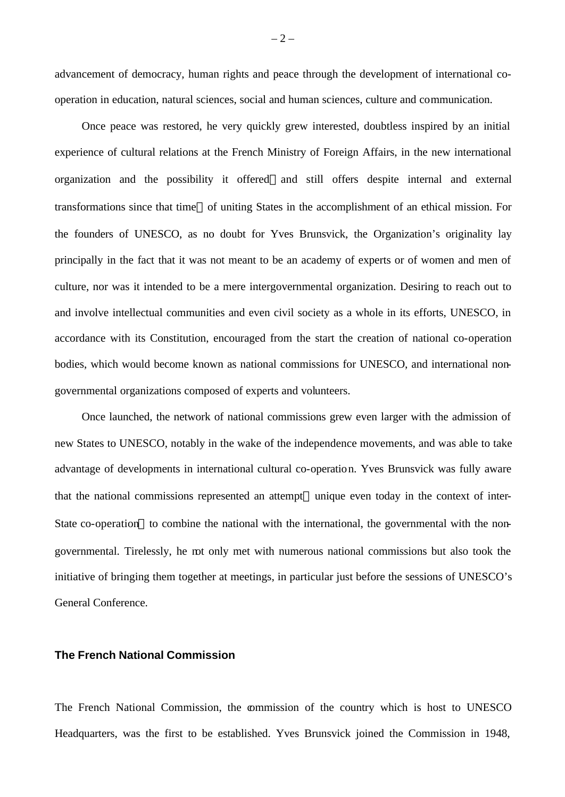advancement of democracy, human rights and peace through the development of international cooperation in education, natural sciences, social and human sciences, culture and communication.

Once peace was restored, he very quickly grew interested, doubtless inspired by an initial experience of cultural relations at the French Ministry of Foreign Affairs, in the new international organization and the possibility it offered—and still offers despite internal and external transformations since that time—of uniting States in the accomplishment of an ethical mission. For the founders of UNESCO, as no doubt for Yves Brunsvick, the Organization's originality lay principally in the fact that it was not meant to be an academy of experts or of women and men of culture, nor was it intended to be a mere intergovernmental organization. Desiring to reach out to and involve intellectual communities and even civil society as a whole in its efforts, UNESCO, in accordance with its Constitution, encouraged from the start the creation of national co-operation bodies, which would become known as national commissions for UNESCO, and international nongovernmental organizations composed of experts and volunteers.

Once launched, the network of national commissions grew even larger with the admission of new States to UNESCO, notably in the wake of the independence movements, and was able to take advantage of developments in international cultural co-operation. Yves Brunsvick was fully aware that the national commissions represented an attempt—unique even today in the context of inter-State co-operation—to combine the national with the international, the governmental with the nongovernmental. Tirelessly, he not only met with numerous national commissions but also took the initiative of bringing them together at meetings, in particular just before the sessions of UNESCO's General Conference.

## **The French National Commission**

The French National Commission, the commission of the country which is host to UNESCO Headquarters, was the first to be established. Yves Brunsvick joined the Commission in 1948,

 $-2-$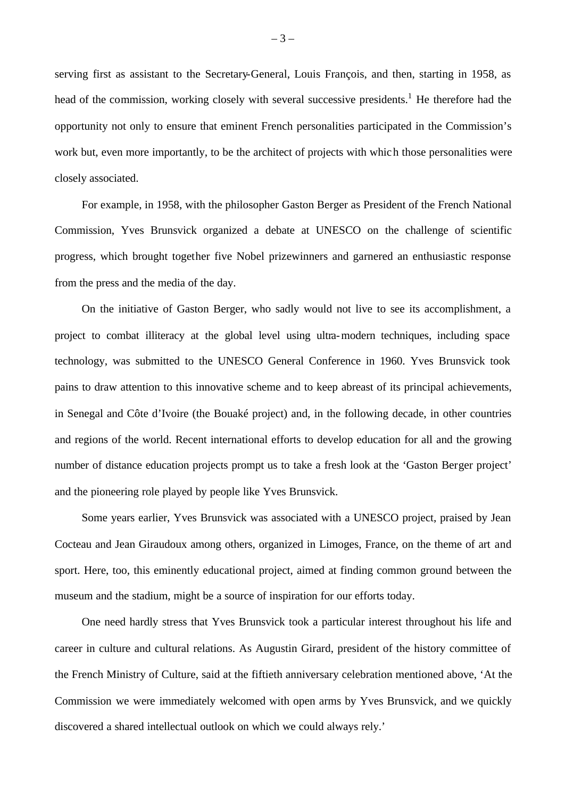serving first as assistant to the Secretary-General, Louis François, and then, starting in 1958, as head of the commission, working closely with several successive presidents.<sup>1</sup> He therefore had the opportunity not only to ensure that eminent French personalities participated in the Commission's work but, even more importantly, to be the architect of projects with which those personalities were closely associated.

For example, in 1958, with the philosopher Gaston Berger as President of the French National Commission, Yves Brunsvick organized a debate at UNESCO on the challenge of scientific progress, which brought together five Nobel prizewinners and garnered an enthusiastic response from the press and the media of the day.

On the initiative of Gaston Berger, who sadly would not live to see its accomplishment, a project to combat illiteracy at the global level using ultra-modern techniques, including space technology, was submitted to the UNESCO General Conference in 1960. Yves Brunsvick took pains to draw attention to this innovative scheme and to keep abreast of its principal achievements, in Senegal and Côte d'Ivoire (the Bouaké project) and, in the following decade, in other countries and regions of the world. Recent international efforts to develop education for all and the growing number of distance education projects prompt us to take a fresh look at the 'Gaston Berger project' and the pioneering role played by people like Yves Brunsvick.

Some years earlier, Yves Brunsvick was associated with a UNESCO project, praised by Jean Cocteau and Jean Giraudoux among others, organized in Limoges, France, on the theme of art and sport. Here, too, this eminently educational project, aimed at finding common ground between the museum and the stadium, might be a source of inspiration for our efforts today.

One need hardly stress that Yves Brunsvick took a particular interest throughout his life and career in culture and cultural relations. As Augustin Girard, president of the history committee of the French Ministry of Culture, said at the fiftieth anniversary celebration mentioned above, 'At the Commission we were immediately welcomed with open arms by Yves Brunsvick, and we quickly discovered a shared intellectual outlook on which we could always rely.'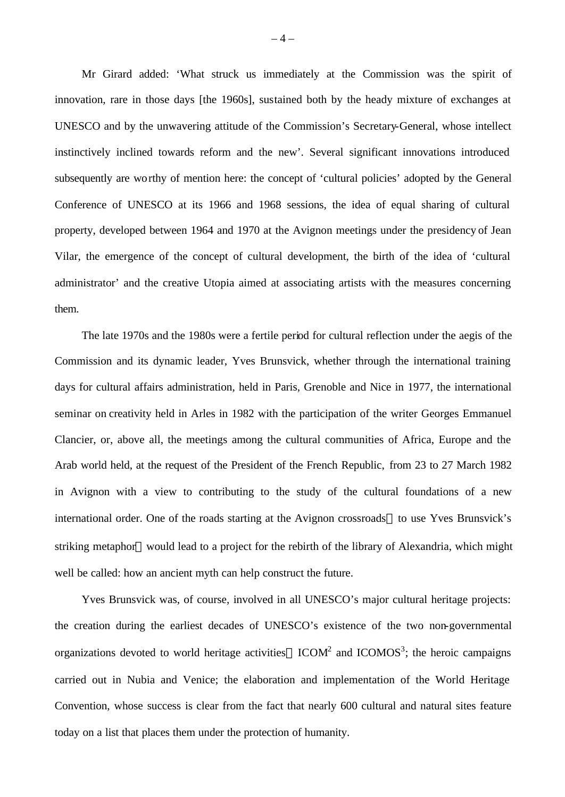Mr Girard added: 'What struck us immediately at the Commission was the spirit of innovation, rare in those days [the 1960s], sustained both by the heady mixture of exchanges at UNESCO and by the unwavering attitude of the Commission's Secretary-General, whose intellect instinctively inclined towards reform and the new'. Several significant innovations introduced subsequently are worthy of mention here: the concept of 'cultural policies' adopted by the General Conference of UNESCO at its 1966 and 1968 sessions, the idea of equal sharing of cultural property, developed between 1964 and 1970 at the Avignon meetings under the presidency of Jean Vilar, the emergence of the concept of cultural development, the birth of the idea of 'cultural administrator' and the creative Utopia aimed at associating artists with the measures concerning them.

The late 1970s and the 1980s were a fertile period for cultural reflection under the aegis of the Commission and its dynamic leader, Yves Brunsvick, whether through the international training days for cultural affairs administration, held in Paris, Grenoble and Nice in 1977, the international seminar on creativity held in Arles in 1982 with the participation of the writer Georges Emmanuel Clancier, or, above all, the meetings among the cultural communities of Africa, Europe and the Arab world held, at the request of the President of the French Republic, from 23 to 27 March 1982 in Avignon with a view to contributing to the study of the cultural foundations of a new international order. One of the roads starting at the Avignon crossroads—to use Yves Brunsvick's striking metaphor—would lead to a project for the rebirth of the library of Alexandria, which might well be called: how an ancient myth can help construct the future.

Yves Brunsvick was, of course, involved in all UNESCO's major cultural heritage projects: the creation during the earliest decades of UNESCO's existence of the two non-governmental organizations devoted to world heritage activities—ICOM<sup>2</sup> and ICOMOS<sup>3</sup>; the heroic campaigns carried out in Nubia and Venice; the elaboration and implementation of the World Heritage Convention, whose success is clear from the fact that nearly 600 cultural and natural sites feature today on a list that places them under the protection of humanity.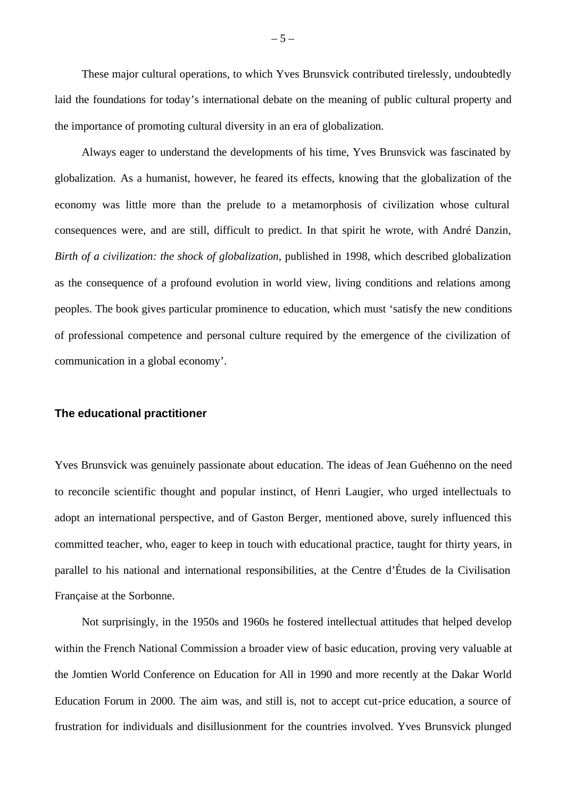These major cultural operations, to which Yves Brunsvick contributed tirelessly, undoubtedly laid the foundations for today's international debate on the meaning of public cultural property and the importance of promoting cultural diversity in an era of globalization.

Always eager to understand the developments of his time, Yves Brunsvick was fascinated by globalization. As a humanist, however, he feared its effects, knowing that the globalization of the economy was little more than the prelude to a metamorphosis of civilization whose cultural consequences were, and are still, difficult to predict. In that spirit he wrote, with André Danzin, *Birth of a civilization: the shock of globalization*, published in 1998, which described globalization as the consequence of a profound evolution in world view, living conditions and relations among peoples. The book gives particular prominence to education, which must 'satisfy the new conditions of professional competence and personal culture required by the emergence of the civilization of communication in a global economy'.

### **The educational practitioner**

Yves Brunsvick was genuinely passionate about education. The ideas of Jean Guéhenno on the need to reconcile scientific thought and popular instinct, of Henri Laugier, who urged intellectuals to adopt an international perspective, and of Gaston Berger, mentioned above, surely influenced this committed teacher, who, eager to keep in touch with educational practice, taught for thirty years, in parallel to his national and international responsibilities, at the Centre d'Études de la Civilisation Française at the Sorbonne.

Not surprisingly, in the 1950s and 1960s he fostered intellectual attitudes that helped develop within the French National Commission a broader view of basic education, proving very valuable at the Jomtien World Conference on Education for All in 1990 and more recently at the Dakar World Education Forum in 2000. The aim was, and still is, not to accept cut-price education, a source of frustration for individuals and disillusionment for the countries involved. Yves Brunsvick plunged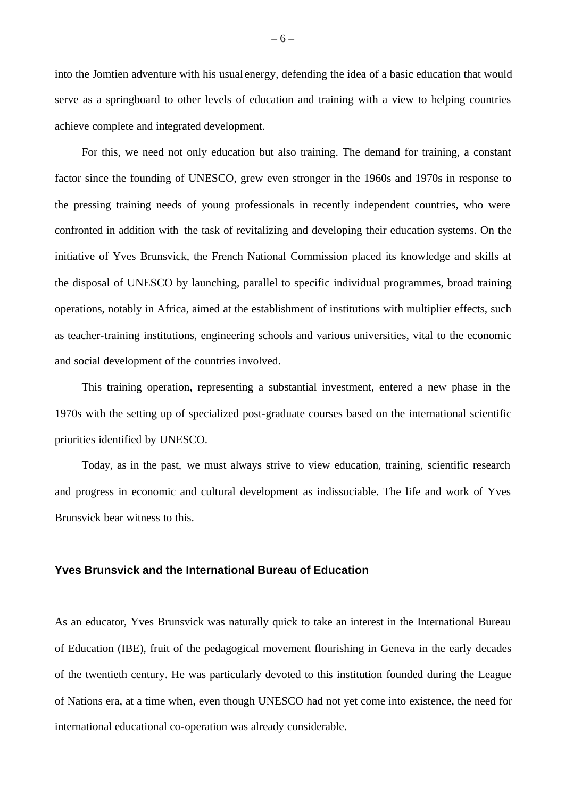into the Jomtien adventure with his usual energy, defending the idea of a basic education that would serve as a springboard to other levels of education and training with a view to helping countries achieve complete and integrated development.

For this, we need not only education but also training. The demand for training, a constant factor since the founding of UNESCO, grew even stronger in the 1960s and 1970s in response to the pressing training needs of young professionals in recently independent countries, who were confronted in addition with the task of revitalizing and developing their education systems. On the initiative of Yves Brunsvick, the French National Commission placed its knowledge and skills at the disposal of UNESCO by launching, parallel to specific individual programmes, broad training operations, notably in Africa, aimed at the establishment of institutions with multiplier effects, such as teacher-training institutions, engineering schools and various universities, vital to the economic and social development of the countries involved.

This training operation, representing a substantial investment, entered a new phase in the 1970s with the setting up of specialized post-graduate courses based on the international scientific priorities identified by UNESCO.

Today, as in the past, we must always strive to view education, training, scientific research and progress in economic and cultural development as indissociable. The life and work of Yves Brunsvick bear witness to this.

## **Yves Brunsvick and the International Bureau of Education**

As an educator, Yves Brunsvick was naturally quick to take an interest in the International Bureau of Education (IBE), fruit of the pedagogical movement flourishing in Geneva in the early decades of the twentieth century. He was particularly devoted to this institution founded during the League of Nations era, at a time when, even though UNESCO had not yet come into existence, the need for international educational co-operation was already considerable.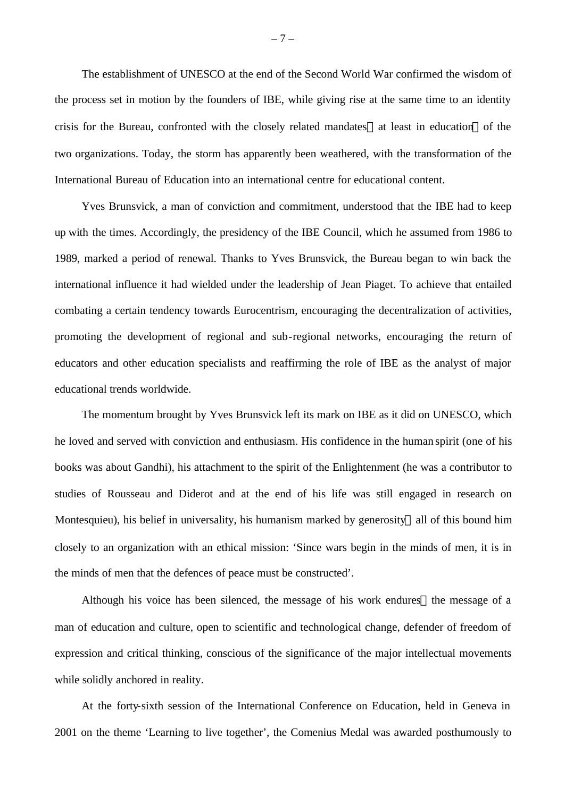The establishment of UNESCO at the end of the Second World War confirmed the wisdom of the process set in motion by the founders of IBE, while giving rise at the same time to an identity crisis for the Bureau, confronted with the closely related mandates—at least in education—of the two organizations. Today, the storm has apparently been weathered, with the transformation of the International Bureau of Education into an international centre for educational content.

Yves Brunsvick, a man of conviction and commitment, understood that the IBE had to keep up with the times. Accordingly, the presidency of the IBE Council, which he assumed from 1986 to 1989, marked a period of renewal. Thanks to Yves Brunsvick, the Bureau began to win back the international influence it had wielded under the leadership of Jean Piaget. To achieve that entailed combating a certain tendency towards Eurocentrism, encouraging the decentralization of activities, promoting the development of regional and sub-regional networks, encouraging the return of educators and other education specialists and reaffirming the role of IBE as the analyst of major educational trends worldwide.

The momentum brought by Yves Brunsvick left its mark on IBE as it did on UNESCO, which he loved and served with conviction and enthusiasm. His confidence in the human spirit (one of his books was about Gandhi), his attachment to the spirit of the Enlightenment (he was a contributor to studies of Rousseau and Diderot and at the end of his life was still engaged in research on Montesquieu), his belief in universality, his humanism marked by generosity—all of this bound him closely to an organization with an ethical mission: 'Since wars begin in the minds of men, it is in the minds of men that the defences of peace must be constructed'.

Although his voice has been silenced, the message of his work endures—the message of a man of education and culture, open to scientific and technological change, defender of freedom of expression and critical thinking, conscious of the significance of the major intellectual movements while solidly anchored in reality.

At the forty-sixth session of the International Conference on Education, held in Geneva in 2001 on the theme 'Learning to live together', the Comenius Medal was awarded posthumously to

 $-7-$